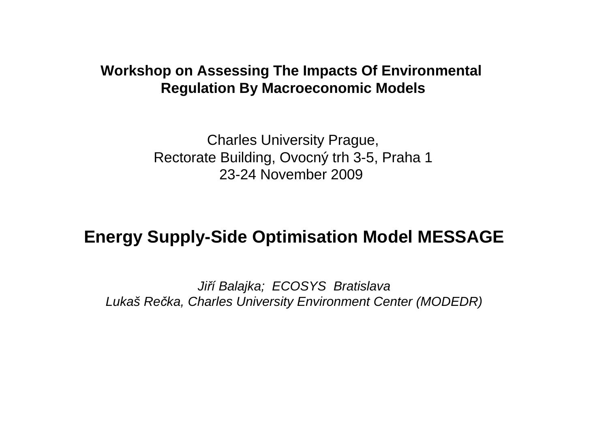#### **Workshop on Assessing The Impacts Of Environmental Regulation By Macroeconomic Models**

Charles University Prague, Rectorate Building, Ovocný trh 3-5, Praha 123-24 November 2009

#### **Energy Supply-Side Optimisation Model MESSAGE**

Ji*ř*í Balajka; ECOSYS BratislavaLukaš Re*č*ka, Charles University Environment Center (MODEDR)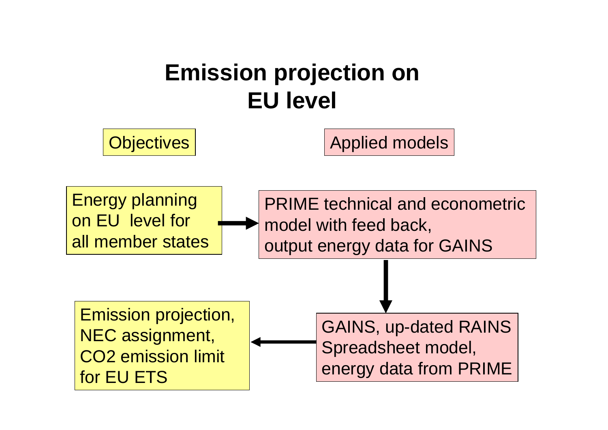# **Emission projection on EU level**

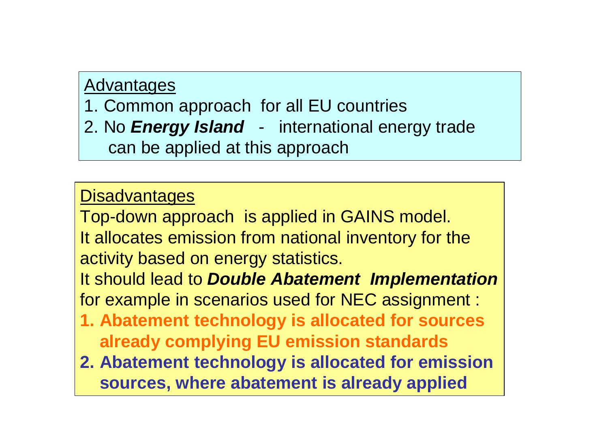#### Advantages

1. Common approach for all EU countries

 2. No **Energy Island** - international energy tradecan be applied at this approach

### **Disadvantages**

Top-down approach is applied in GAINS model.It allocates emission from national inventory for theactivity based on energy statistics. It should lead to **Double Abatement Implementation** 

for example in scenarios used for NEC assignment :

- **1. Abatement technology is allocated for sources already complying EU emission standards**
- **2. Abatement technology is allocated for emission sources, where abatement is already applied**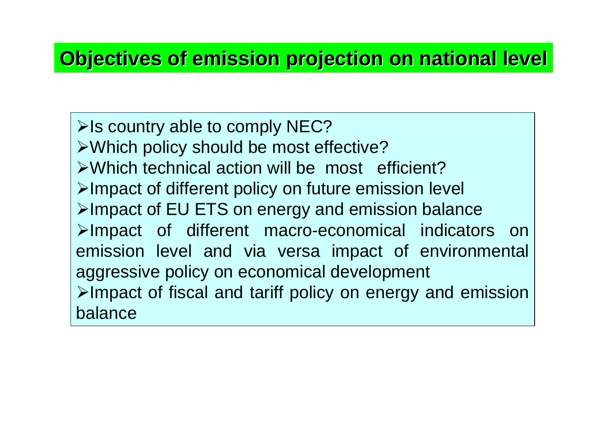# **Objectives of emission projection on national level**

 $\triangleright$  Is country able to comply NEC? Which policy should be most effective? Which technical action will be most efficient? $\triangleright$ Impact of different policy on future emission level  $\triangleright$ Impact of EU ETS on energy and emission balance >Impact of different macro-economical indicators on emission level and via versa impact of environmental aggressive policy on economical development $\triangleright$ Impact of fiscal and tariff policy on energy and emission balance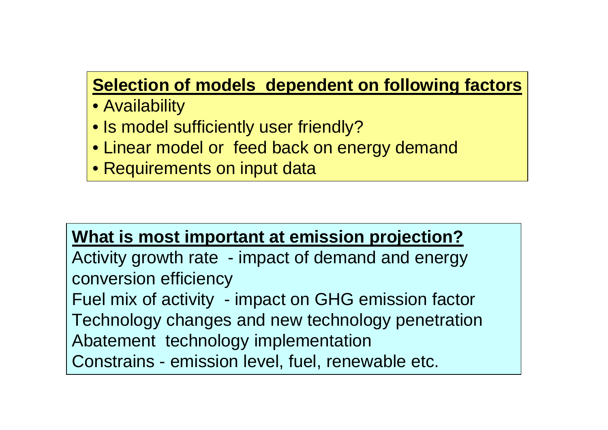# **Selection of models dependent on following factors**

- Availability
- Is model sufficiently user friendly?
- Linear model or feed back on energy demand
- Requirements on input data

#### **What is most important at emission projection?**

 Activity growth rate - impact of demand and energy conversion efficiency

 Fuel mix of activity - impact on GHG emission factor Technology changes and new technology penetration Abatement technology implementationConstrains - emission level, fuel, renewable etc.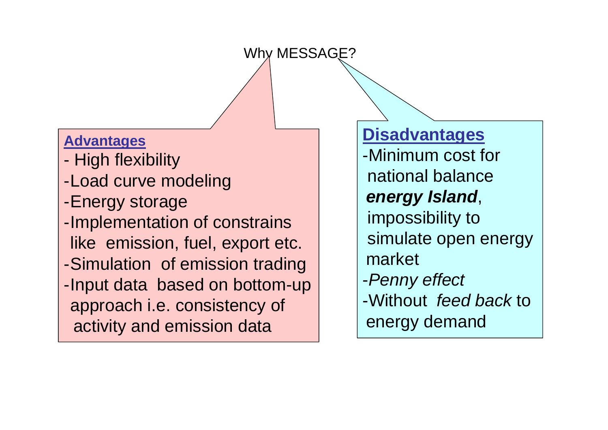#### Why MESSAGE?

#### **Advantages**

- -High flexibility
- -Load curve modeling
- -Energy storage
- -Implementation of constrains like emission, fuel, export etc. -Simulation of emission trading -Input data based on bottom-up approach i.e. consistency ofactivity and emission data

**Disadvantages** -Minimum cost fornational balance**energy Island**,impossibility to simulate open energy market-Penny effect-Without feed back to energy demand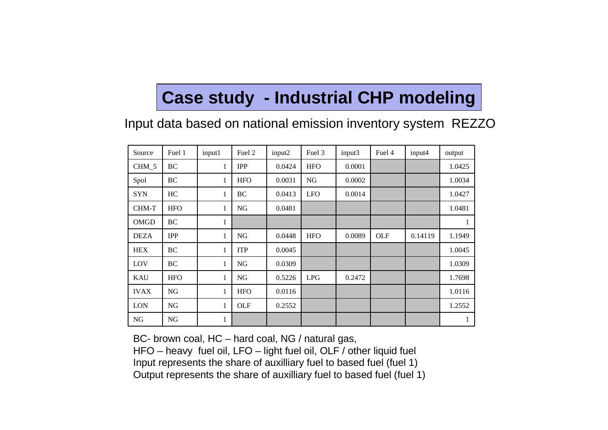# **Case study - Industrial CHP modeling**

Input data based on national emission inventory system REZZO

| Source      | Fuel 1     | input1       | Fuel 2     | input2 | Fuel 3     | input3 | Fuel 4 | input4  | output |
|-------------|------------|--------------|------------|--------|------------|--------|--------|---------|--------|
| CHM 5       | <b>BC</b>  | $\mathbf{1}$ | <b>IPP</b> | 0.0424 | <b>HFO</b> | 0.0001 |        |         | 1.0425 |
| Spol        | BC         | $\mathbf{1}$ | <b>HFO</b> | 0.0031 | NG         | 0.0002 |        |         | 1.0034 |
| <b>SYN</b>  | HC         | 1            | BC         | 0.0413 | <b>LFO</b> | 0.0014 |        |         | 1.0427 |
| CHM-T       | <b>HFO</b> | $\mathbf{1}$ | <b>NG</b>  | 0.0481 |            |        |        |         | 1.0481 |
| OMGD        | BC         | $\mathbf{1}$ |            |        |            |        |        |         | 1      |
| <b>DEZA</b> | <b>IPP</b> | $\mathbf{1}$ | <b>NG</b>  | 0.0448 | <b>HFO</b> | 0.0089 | OLF    | 0.14119 | 1.1949 |
| <b>HEX</b>  | BC         | $\mathbf{1}$ | <b>ITP</b> | 0.0045 |            |        |        |         | 1.0045 |
| LOV         | BC         | $\mathbf{1}$ | <b>NG</b>  | 0.0309 |            |        |        |         | 1.0309 |
| <b>KAU</b>  | <b>HFO</b> | $\mathbf{1}$ | NG         | 0.5226 | <b>LPG</b> | 0.2472 |        |         | 1.7698 |
| <b>IVAX</b> | <b>NG</b>  | $\mathbf{1}$ | <b>HFO</b> | 0.0116 |            |        |        |         | 1.0116 |
| <b>LON</b>  | NG         | $\mathbf{1}$ | OLF        | 0.2552 |            |        |        |         | 1.2552 |
| <b>NG</b>   | <b>NG</b>  | 1            |            |        |            |        |        |         | 1      |

BC- brown coal, HC – hard coal, NG / natural gas,

HFO – heavy fuel oil, LFO – light fuel oil, OLF / other liquid fuel Input represents the share of auxilliary fuel to based fuel (fuel 1)Output represents the share of auxilliary fuel to based fuel (fuel 1)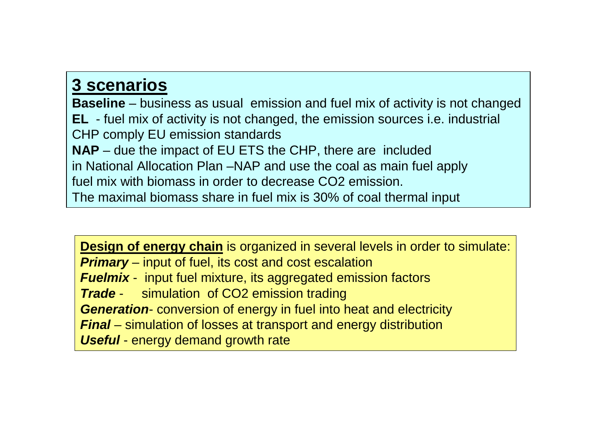#### **3 scenarios**

 **Baseline** – business as usual emission and fuel mix of activity is not changed **EL** - fuel mix of activity is not changed, the emission sources i.e. industrial CHP comply EU emission standards**NAP** – due the impact of EU ETS the CHP, there are included in National Allocation Plan –NAP and use the coal as main fuel apply fuel mix with biomass in order to decrease CO2 emission. The maximal biomass share in fuel mix is 30% of coal thermal input

**Design of energy chain** is organized in several levels in order to simulate: **Primary** – input of fuel, its cost and cost escalation **Fuelmix** - input fuel mixture, its aggregated emission factors **Trade**simulation of CO2 emission trading **Generation**- conversion of energy in fuel into heat and electricity**Final** – simulation of losses at transport and energy distribution**Useful** - energy demand growth rate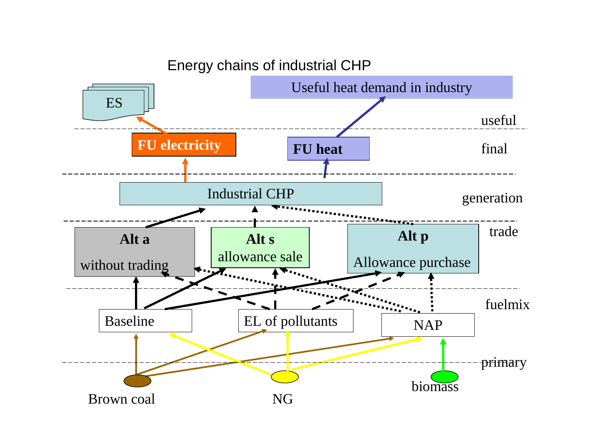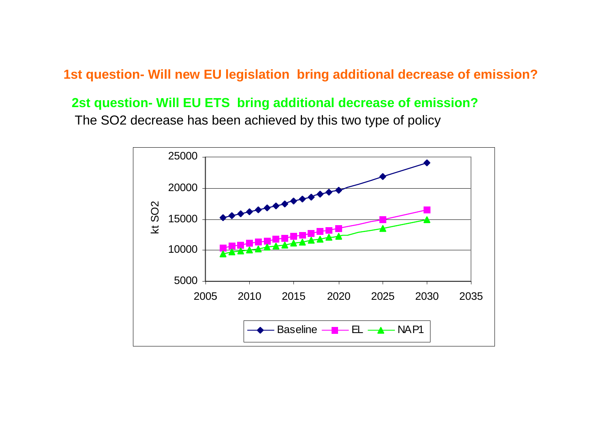**1st question- Will new EU legislation bring additional decrease of emission?**

#### **2st question- Will EU ETS bring additional decrease of emission?**

The SO2 decrease has been achieved by this two type of policy

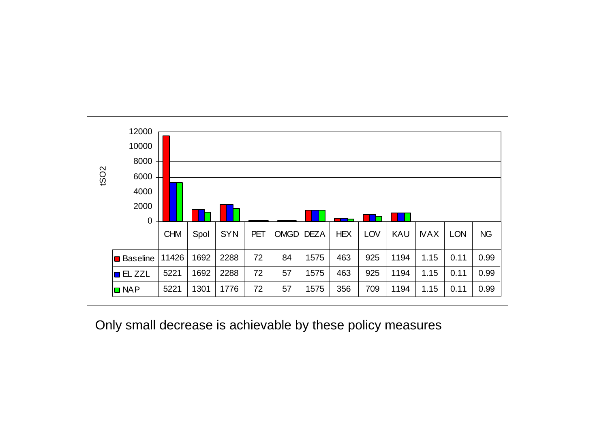

Only small decrease is achievable by these policy measures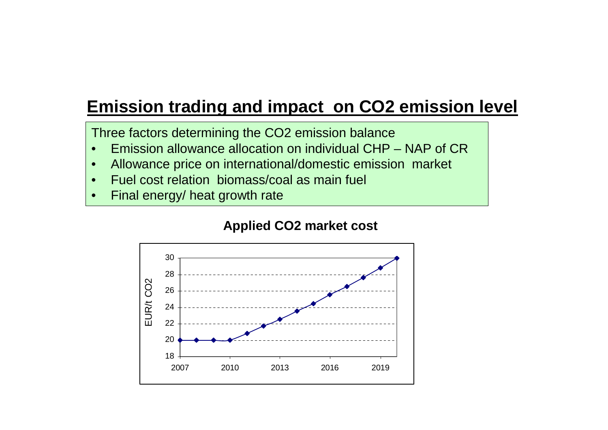### **Emission trading and impact on CO2 emission level**

Three factors determining the CO2 emission balance

- Emission allowance allocation on individual CHP NAP of CR•
- •Allowance price on international/domestic emission market
- •Fuel cost relation biomass/coal as main fuel
- •Final energy/ heat growth rate

#### **Applied CO2 market cost**

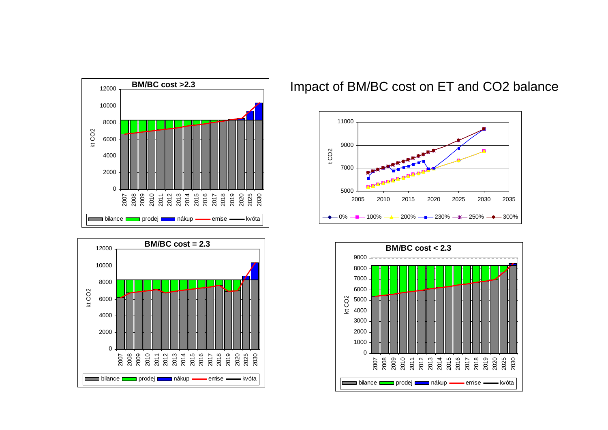



#### Impact of BM/BC cost on ET and CO2 balance



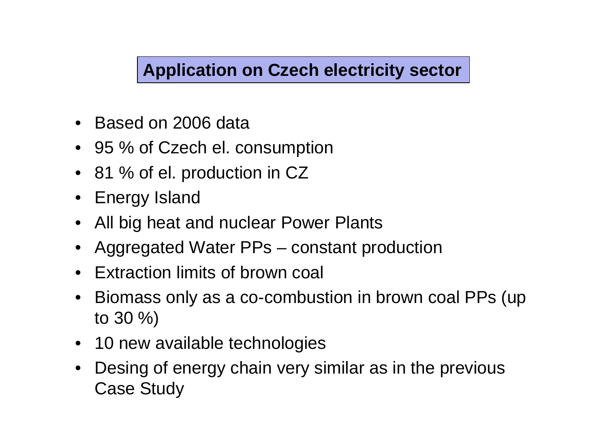# **Application on Czech electricity sector**

- Based on 2006 data
- 95 % of Czech el. consumption
- 81 % of el. production in CZ
- Energy Island
- All big heat and nuclear Power Plants
- Aggregated Water PPs constant production
- $\bullet$ Extraction limits of brown coal
- • Biomass only as a co-combustion in brown coal PPs (up to 30 %)
- 10 new available technologies
- Desing of energy chain very similar as in the previous Case Study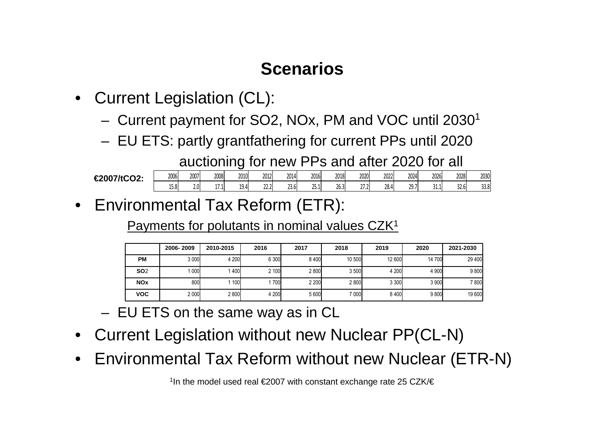# **Scenarios**

- • Current Legislation (CL):
	- –Current payment for SO2, NOx, PM and VOC until 2030<sup>1</sup>
	- –EU ETS: partly grantfathering for current PPs until 2020

auctioning for new PPs and after 2020 for all

| £2007HCD2<br>VZ. | 2006                    | 2007             | 2008     | 2010              | 2012           | 2014 | 2016                    | 2018         | 2020           | 2022            | 2024         | 2026 | 2028 | 2030 |
|------------------|-------------------------|------------------|----------|-------------------|----------------|------|-------------------------|--------------|----------------|-----------------|--------------|------|------|------|
|                  | $\cdot$ .<br>ໍດ<br>1J.O | 2.0 <sub>1</sub> | 171<br>. | 10,<br><b>LJ.</b> | 22.2<br>$-1.1$ | 23.6 | $\mathbf{A} =$<br>25. I | 20.2<br>26.3 | ור דר<br>، ، ، | $\sim$<br>28. L | 207<br>، ، ب | ⊥⊾∟  | 32.6 | 33.8 |

• Environmental Tax Reform (ETR):

Payments for polutants in nominal values CZK<sup>1</sup>

|                       | 2006-2009 | 2010-2015 | 2016  | 2017    | 2018   | 2019    | 2020    | 2021-2030 |
|-----------------------|-----------|-----------|-------|---------|--------|---------|---------|-----------|
| <b>PM</b>             | 3 000     | 4 200     | 6 300 | 8400    | 10 500 | 12 600  | 14 700  | 29 400    |
| <b>SO2</b>            | 000       | 1400      | 2 100 | 2800    | 3500   | 4 200   | 4 9 0 0 | 9 800     |
| <b>NO<sub>x</sub></b> | 800l      | 1 100     | 700   | 2 2 0 0 | 2800   | 3 3 0 0 | 3 900   | 7800      |
| <b>VOC</b>            | 2 000     | 2800      | 4 200 | 5 600   | 7 000  | 8400    | 9800    | 19 600    |

- –EU ETS on the same way as in CL
- •Current Legislation without new Nuclear PP(CL-N)
- $\bullet$ Environmental Tax Reform without new Nuclear (ETR-N)

<sup>1</sup>In the model used real €2007 with constant exchange rate 25 CZK/€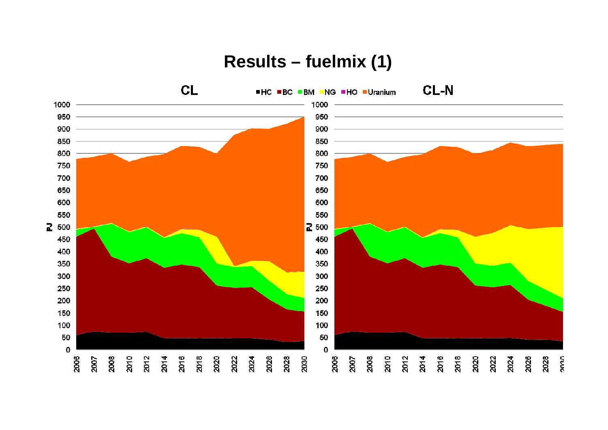#### Results - fuelmix (1)

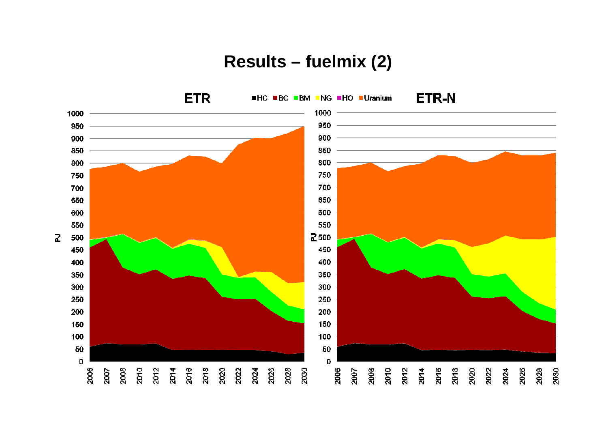#### Results - fuelmix (2)

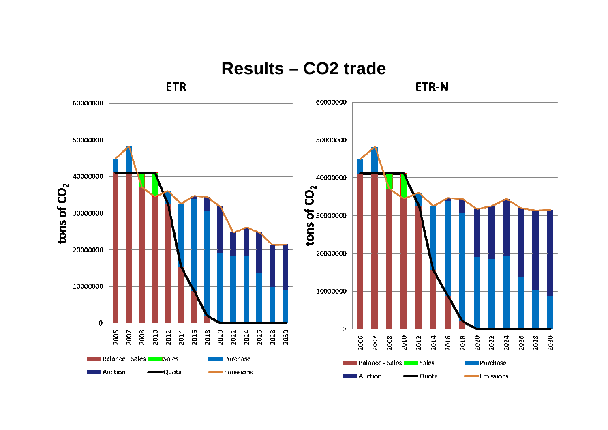

**Results-CO2 trade**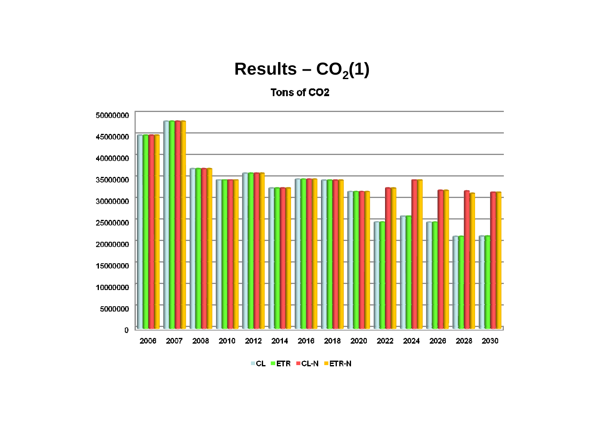#### Results  $-$  CO<sub>2</sub>(1)

Tons of CO<sub>2</sub>



**FCL PETR FCL-N PETR-N**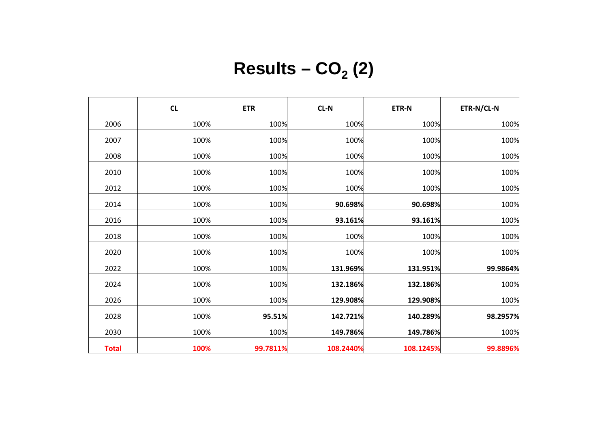|              | CL   | <b>ETR</b> | $CL-N$    | ETR-N     | ETR-N/CL-N |
|--------------|------|------------|-----------|-----------|------------|
| 2006         | 100% | 100%       | 100%      | 100%      | 100%       |
| 2007         | 100% | 100%       | 100%      | 100%      | 100%       |
| 2008         | 100% | 100%       | 100%      | 100%      | 100%       |
| 2010         | 100% | 100%       | 100%      | 100%      | 100%       |
| 2012         | 100% | 100%       | 100%      | 100%      | 100%       |
| 2014         | 100% | 100%       | 90.698%   | 90.698%   | 100%       |
| 2016         | 100% | 100%       | 93.161%   | 93.161%   | 100%       |
| 2018         | 100% | 100%       | 100%      | 100%      | 100%       |
| 2020         | 100% | 100%       | 100%      | 100%      | 100%       |
| 2022         | 100% | 100%       | 131.969%  | 131.951%  | 99.9864%   |
| 2024         | 100% | 100%       | 132.186%  | 132.186%  | 100%       |
| 2026         | 100% | 100%       | 129.908%  | 129.908%  | 100%       |
| 2028         | 100% | 95.51%     | 142.721%  | 140.289%  | 98.2957%   |
| 2030         | 100% | 100%       | 149.786%  | 149.786%  | 100%       |
| <b>Total</b> | 100% | 99.7811%   | 108.2440% | 108.1245% | 99.8896%   |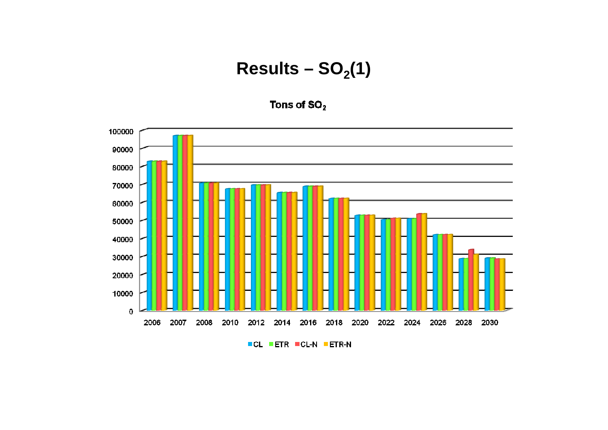#### Results  $-$  SO<sub>2</sub>(1)

Tons of  $SO<sub>2</sub>$ 



**CL ETR CL-N ETR-N**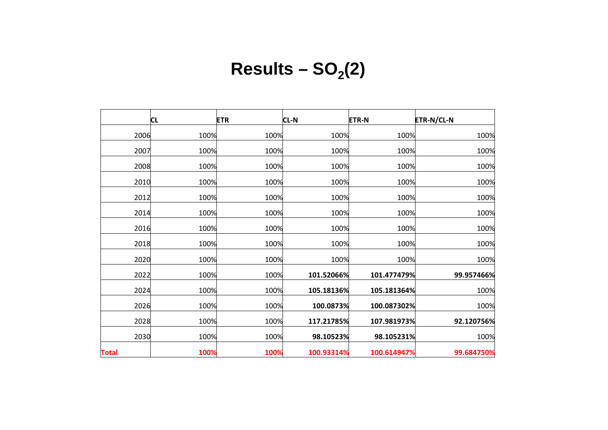# $Results - SO<sub>2</sub>(2)$

|              | <b>CL</b> | <b>ETR</b> | <b>CL-N</b> | <b>ETR-N</b> | <b>ETR-N/CL-N</b> |
|--------------|-----------|------------|-------------|--------------|-------------------|
| 2006         | 100%      | 100%       | 100%        | 100%         | 100%              |
| 2007         | 100%      | 100%       | 100%        | 100%         | 100%              |
| 2008         | 100%      | 100%       | 100%        | 100%         | 100%              |
| 2010         | 100%      | 100%       | 100%        | 100%         | 100%              |
| 2012         | 100%      | 100%       | 100%        | 100%         | 100%              |
| 2014         | 100%      | 100%       | 100%        | 100%         | 100%              |
| 2016         | 100%      | 100%       | 100%        | 100%         | 100%              |
| 2018         | 100%      | 100%       | 100%        | 100%         | 100%              |
| 2020         | 100%      | 100%       | 100%        | 100%         | 100%              |
| 2022         | 100%      | 100%       | 101.52066%  | 101.477479%  | 99.957466%        |
| 2024         | 100%      | 100%       | 105.18136%  | 105.181364%  | 100%              |
| 2026         | 100%      | 100%       | 100.0873%   | 100.087302%  | 100%              |
| 2028         | 100%      | 100%       | 117.21785%  | 107.981973%  | 92.120756%        |
| 2030         | 100%      | 100%       | 98.10523%   | 98.105231%   | 100%              |
| <b>Total</b> | 100%      | 100%       | 100.93314%  | 100.614947%  | 99.684750%        |